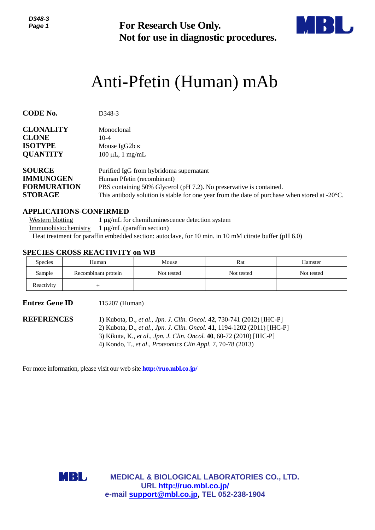*D348-3 Page 1*



# Anti-Pfetin (Human) mAb

| טייט<br>Page 1                                                            |                                                                                                                                                                                                                    | <b>For Research Use Only.</b><br>Not for use in diagnostic procedures.  |                                                                                                                                                                                                                            |                                                                                                         |  |  |  |
|---------------------------------------------------------------------------|--------------------------------------------------------------------------------------------------------------------------------------------------------------------------------------------------------------------|-------------------------------------------------------------------------|----------------------------------------------------------------------------------------------------------------------------------------------------------------------------------------------------------------------------|---------------------------------------------------------------------------------------------------------|--|--|--|
|                                                                           |                                                                                                                                                                                                                    |                                                                         | Anti-Pfetin (Human) mAb                                                                                                                                                                                                    |                                                                                                         |  |  |  |
| <b>CODE No.</b>                                                           | D348-3                                                                                                                                                                                                             |                                                                         |                                                                                                                                                                                                                            |                                                                                                         |  |  |  |
| <b>CLONALITY</b><br><b>CLONE</b><br><b>ISOTYPE</b><br><b>QUANTITY</b>     | Monoclonal<br>$10 - 4$<br>Mouse IgG2b $\kappa$<br>$100 \mu L$ , 1 mg/mL                                                                                                                                            |                                                                         |                                                                                                                                                                                                                            |                                                                                                         |  |  |  |
| <b>SOURCE</b><br><b>IMMUNOGEN</b><br><b>FORMURATION</b><br><b>STORAGE</b> | Human Pfetin (recombinant)                                                                                                                                                                                         | Purified IgG from hybridoma supernatant                                 | PBS containing 50% Glycerol (pH 7.2). No preservative is contained.                                                                                                                                                        | This antibody solution is stable for one year from the date of purchase when stored at $-20^{\circ}$ C. |  |  |  |
| <b>Western blotting</b><br>Immunohistochemistry                           | <b>APPLICATIONS-CONFIRMED</b><br>$1 \mu g/mL$ (paraffin section)<br>Heat treatment for paraffin embedded section: autoclave, for 10 min. in 10 mM citrate buffer (pH 6.0)<br><b>SPECIES CROSS REACTIVITY on WB</b> | 1 µg/mL for chemiluminescence detection system                          |                                                                                                                                                                                                                            |                                                                                                         |  |  |  |
| <b>Species</b>                                                            | Human                                                                                                                                                                                                              | Mouse                                                                   | Rat                                                                                                                                                                                                                        | Hamster                                                                                                 |  |  |  |
| Sample                                                                    | Recombinant protein                                                                                                                                                                                                | Not tested                                                              | Not tested                                                                                                                                                                                                                 | Not tested                                                                                              |  |  |  |
| Reactivity                                                                | $^{+}$                                                                                                                                                                                                             |                                                                         |                                                                                                                                                                                                                            |                                                                                                         |  |  |  |
| <b>Entrez Gene ID</b>                                                     | 115207 (Human)                                                                                                                                                                                                     |                                                                         |                                                                                                                                                                                                                            |                                                                                                         |  |  |  |
| <b>REFERENCES</b>                                                         |                                                                                                                                                                                                                    | 4) Kondo, T., et al., Proteomics Clin Appl. 7, 70-78 (2013)             | 1) Kubota, D., et al., Jpn. J. Clin. Oncol. 42, 730-741 (2012) [IHC-P]<br>2) Kubota, D., et al., Jpn. J. Clin. Oncol. 41, 1194-1202 (2011) [IHC-P]<br>3) Kikuta, K., et al., Jpn. J. Clin. Oncol. 40, 60-72 (2010) [IHC-P] |                                                                                                         |  |  |  |
|                                                                           | For more information, please visit our web site <b>http://ruo.mbl.co.jp/</b>                                                                                                                                       |                                                                         |                                                                                                                                                                                                                            |                                                                                                         |  |  |  |
|                                                                           | MBL                                                                                                                                                                                                                | URL http://ruo.mbl.co.jp/<br>e-mail support@mbl.co.jp, TEL 052-238-1904 | <b>MEDICAL &amp; BIOLOGICAL LABORATORIES CO., LTD.</b>                                                                                                                                                                     |                                                                                                         |  |  |  |

#### **APPLICATIONS-CONFIRMED**

## **SPECIES CROSS REACTIVITY on WB**

| <b>Species</b> | Human               | Mouse      | Rat        | Hamster    |
|----------------|---------------------|------------|------------|------------|
| Sample         | Recombinant protein | Not tested | Not tested | Not tested |
| Reactivity     |                     |            |            |            |

# **Entrez Gene ID** 115207 (Human)

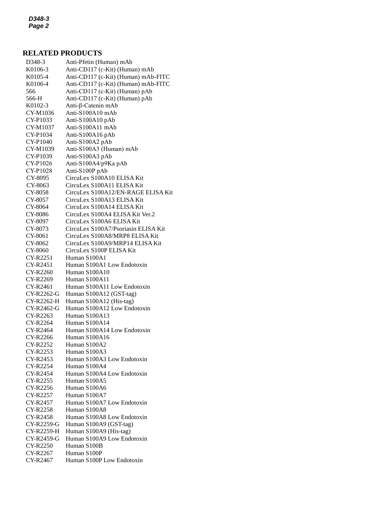# **RELATED PRODUCTS**

| D348-3     | Anti-Pfetin (Human) mAb             |
|------------|-------------------------------------|
| K0106-3    | Anti-CD117 (c-Kit) (Human) mAb      |
| K0105-4    | Anti-CD117 (c-Kit) (Human) mAb-FITC |
| K0106-4    | Anti-CD117 (c-Kit) (Human) mAb-FITC |
| 566        | Anti-CD117 (c-Kit) (Human) pAb      |
| 566-H      | Anti-CD117 (c-Kit) (Human) pAb      |
| K0102-3    | Anti-β-Catenin mAb                  |
| CY-M1036   | Anti-S100A10 mAb                    |
| CY-P1033   | Anti-S100A10 pAb                    |
| CY-M1037   | Anti-S100A11 mAb                    |
| CY-P1034   | Anti-S100A16 pAb                    |
| CY-P1040   | Anti-S100A2 pAb                     |
| CY-M1039   | Anti-S100A3 (Human) mAb             |
|            |                                     |
| CY-P1039   | Anti-S100A3 pAb                     |
| CY-P1026   | Anti-S100A4/p9Ka pAb                |
| CY-P1028   | Anti-S100P pAb                      |
| CY-8095    | CircuLex S100A10 ELISA Kit          |
| CY-8063    | CircuLex S100A11 ELISA Kit          |
| CY-8058    | CircuLex S100A12/EN-RAGE ELISA Kit  |
| CY-8057    | CircuLex S100A13 ELISA Kit          |
| CY-8064    | CircuLex S100A14 ELISA Kit          |
| CY-8086    | CircuLex S100A4 ELISA Kit Ver.2     |
| CY-8097    | CircuLex S100A6 ELISA Kit           |
| CY-8073    | CircuLex S100A7/Psoriasin ELISA Kit |
| CY-8061    | CircuLex S100A8/MRP8 ELISA Kit      |
| CY-8062    | CircuLex S100A9/MRP14 ELISA Kit     |
| CY-8060    | CircuLex S100P ELISA Kit            |
| CY-R2251   | Human S100A1                        |
| CY-R2451   | Human S100A1 Low Endotoxin          |
| CY-R2260   | Human S100A10                       |
| CY-R2269   | Human S100A11                       |
| CY-R2461   | Human S100A11 Low Endotoxin         |
| CY-R2262-G | Human S100A12 (GST-tag)             |
| CY-R2262-H | Human S100A12 (His-tag)             |
| CY-R2462-G | Human S100A12 Low Endotoxin         |
| CY-R2263   | Human S100A13                       |
| CY-R2264   | Human S100A14                       |
| CY-R2464   | Human S100A14 Low Endotoxin         |
| CY-R2266   | Human S100A16                       |
| CY-R2252   | Human S100A2                        |
| CY-R2253   | Human S100A3                        |
| CY-R2453   | Human S100A3 Low Endotoxin          |
| CY-R2254   | Human S100A4                        |
| CY-R2454   | Human S100A4 Low Endotoxin          |
| CY-R2255   | Human S100A5                        |
| CY-R2256   | Human S100A6                        |
| CY-R2257   | Human S100A7                        |
| CY-R2457   | Human S100A7 Low Endotoxin          |
| CY-R2258   | Human S100A8                        |
| CY-R2458   | Human S100A8 Low Endotoxin          |
| CY-R2259-G | Human S100A9 (GST-tag)              |
| CY-R2259-H | Human S100A9 (His-tag)              |
| CY-R2459-G | Human S100A9 Low Endotoxin          |
| CY-R2250   | Human S100B                         |
| CY-R2267   | Human S100P                         |
| CY-R2467   | Human S100P Low Endotoxin           |
|            |                                     |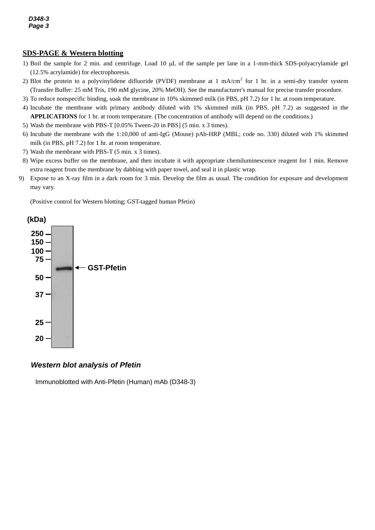# **SDS-PAGE & Western blotting**

- *2* (12.5% acrylamide) for electrophoresis. 1) Boil the sample for 2 min. and centrifuge. Load 10  $\mu$ L of the sample per lane in a 1-mm-thick SDS-polyacrylamide gel
- 2) Blot the protein to a polyvinylidene difluoride (PVDF) membrane at 1 mA/cm<sup>2</sup> for 1 hr. in a semi-dry transfer system (Transfer Buffer: 25 mM Tris, 190 mM glycine, 20% MeOH). See the manufacturer's manual for precise transfer procedure.
- 3) To reduce nonspecific binding, soak the membrane in 10% skimmed milk (in PBS, pH 7.2) for 1 hr. at room temperature.
- 4) Incubate the membrane with primary antibody diluted with 1% skimmed milk (in PBS, pH 7.2) as suggested in the **APPLICATIONS** for 1 hr. at room temperature. (The concentration of antibody will depend on the conditions.)
- 5) Wash the membrane with PBS-T [0.05% Tween-20 in PBS] (5 min. x 3 times).
- 6) Incubate the membrane with the 1:10,000 of anti-IgG (Mouse) pAb-HRP (MBL; code no. 330) diluted with 1% skimmed milk (in PBS, pH 7.2) for 1 hr. at room temperature.
- 7) Wash the membrane with PBS-T (5 min. x 3 times).
- 8) Wipe excess buffer on the membrane, and then incubate it with appropriate chemiluminescence reagent for 1 min. Remove extra reagent from the membrane by dabbing with paper towel, and seal it in plastic wrap.
- 9) Expose to an X-ray film in a dark room for 3 min. Develop the film as usual. The condition for exposure and development may vary.

(Positive control for Western blotting; GST-tagged human Pfetin)



## *Western blot analysis of Pfetin*

Immunoblotted with Anti-Pfetin (Human) mAb (D348-3)